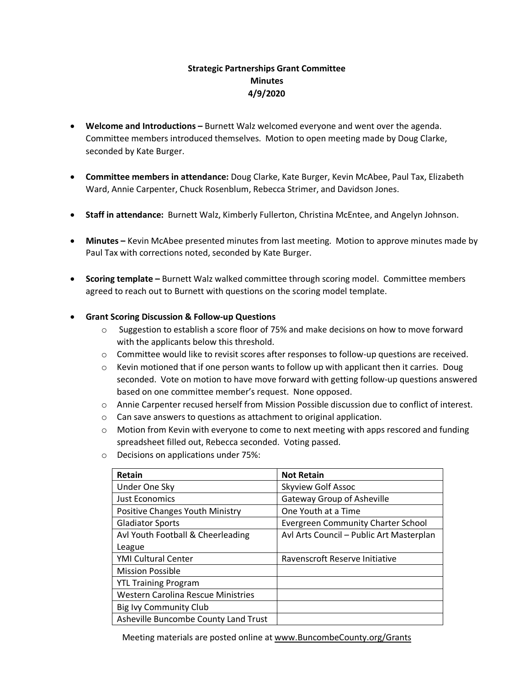# **Strategic Partnerships Grant Committee Minutes 4/9/2020**

- **Welcome and Introductions –** Burnett Walz welcomed everyone and went over the agenda. Committee members introduced themselves. Motion to open meeting made by Doug Clarke, seconded by Kate Burger.
- **Committee members in attendance:** Doug Clarke, Kate Burger, Kevin McAbee, Paul Tax, Elizabeth Ward, Annie Carpenter, Chuck Rosenblum, Rebecca Strimer, and Davidson Jones.
- **Staff in attendance:** Burnett Walz, Kimberly Fullerton, Christina McEntee, and Angelyn Johnson.
- **Minutes –** Kevin McAbee presented minutes from last meeting. Motion to approve minutes made by Paul Tax with corrections noted, seconded by Kate Burger.
- **Scoring template –** Burnett Walz walked committee through scoring model. Committee members agreed to reach out to Burnett with questions on the scoring model template.

## • **Grant Scoring Discussion & Follow-up Questions**

- o Suggestion to establish a score floor of 75% and make decisions on how to move forward with the applicants below this threshold.
- $\circ$  Committee would like to revisit scores after responses to follow-up questions are received.
- $\circ$  Kevin motioned that if one person wants to follow up with applicant then it carries. Doug seconded. Vote on motion to have move forward with getting follow-up questions answered based on one committee member's request. None opposed.
- o Annie Carpenter recused herself from Mission Possible discussion due to conflict of interest.
- o Can save answers to questions as attachment to original application.
- $\circ$  Motion from Kevin with everyone to come to next meeting with apps rescored and funding spreadsheet filled out, Rebecca seconded. Voting passed.
- o Decisions on applications under 75%:

| Retain                                    | <b>Not Retain</b>                         |
|-------------------------------------------|-------------------------------------------|
| Under One Sky                             | <b>Skyview Golf Assoc</b>                 |
| <b>Just Economics</b>                     | <b>Gateway Group of Asheville</b>         |
| Positive Changes Youth Ministry           | One Youth at a Time                       |
| <b>Gladiator Sports</b>                   | <b>Evergreen Community Charter School</b> |
| Avl Youth Football & Cheerleading         | Avl Arts Council - Public Art Masterplan  |
| League                                    |                                           |
| <b>YMI Cultural Center</b>                | Ravenscroft Reserve Initiative            |
| <b>Mission Possible</b>                   |                                           |
| <b>YTL Training Program</b>               |                                           |
| <b>Western Carolina Rescue Ministries</b> |                                           |
| Big Ivy Community Club                    |                                           |
| Asheville Buncombe County Land Trust      |                                           |

Meeting materials are posted online at [www.BuncombeCounty.org/Grants](http://www.buncombecounty.org/Grants)